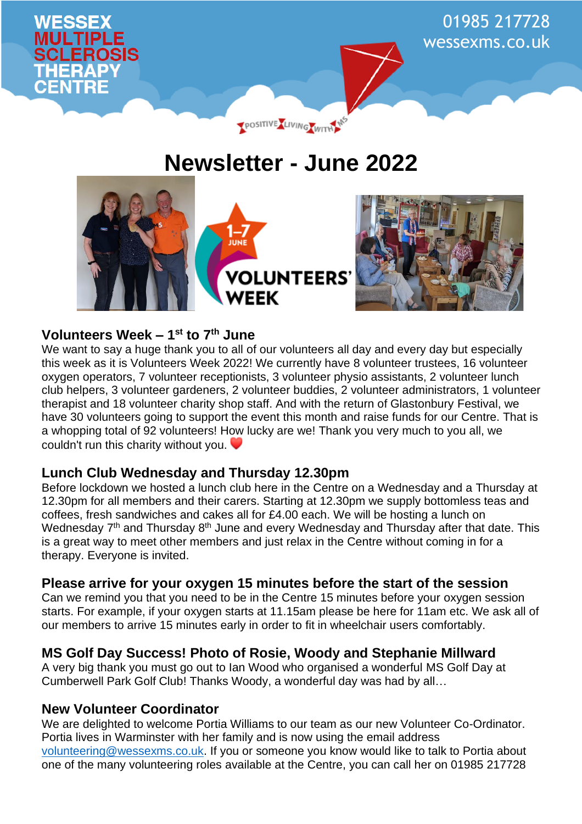

# **Newsletter - June 2022**



# **Volunteers Week – 1 st to 7th June**

We want to say a huge thank you to all of our volunteers all day and every day but especially this week as it is Volunteers Week 2022! We currently have 8 volunteer trustees, 16 volunteer oxygen operators, 7 volunteer receptionists, 3 volunteer physio assistants, 2 volunteer lunch club helpers, 3 volunteer gardeners, 2 volunteer buddies, 2 volunteer administrators, 1 volunteer therapist and 18 volunteer charity shop staff. And with the return of Glastonbury Festival, we have 30 volunteers going to support the event this month and raise funds for our Centre. That is a whopping total of 92 volunteers! How lucky are we! Thank you very much to you all, we couldn't run this charity without you.

# **Lunch Club Wednesday and Thursday 12.30pm**

Before lockdown we hosted a lunch club here in the Centre on a Wednesday and a Thursday at 12.30pm for all members and their carers. Starting at 12.30pm we supply bottomless teas and coffees, fresh sandwiches and cakes all for £4.00 each. We will be hosting a lunch on Wednesday 7<sup>th</sup> and Thursday 8<sup>th</sup> June and every Wednesday and Thursday after that date. This is a great way to meet other members and just relax in the Centre without coming in for a therapy. Everyone is invited.

# **Please arrive for your oxygen 15 minutes before the start of the session**

Can we remind you that you need to be in the Centre 15 minutes before your oxygen session starts. For example, if your oxygen starts at 11.15am please be here for 11am etc. We ask all of our members to arrive 15 minutes early in order to fit in wheelchair users comfortably.

# **MS Golf Day Success! Photo of Rosie, Woody and Stephanie Millward**

A very big thank you must go out to Ian Wood who organised a wonderful MS Golf Day at Cumberwell Park Golf Club! Thanks Woody, a wonderful day was had by all…

# **New Volunteer Coordinator**

We are delighted to welcome Portia Williams to our team as our new Volunteer Co-Ordinator. Portia lives in Warminster with her family and is now using the email address [volunteering@wessexms.co.uk.](mailto:volunteering@wessexms.co.uk) If you or someone you know would like to talk to Portia about one of the many volunteering roles available at the Centre, you can call her on 01985 217728